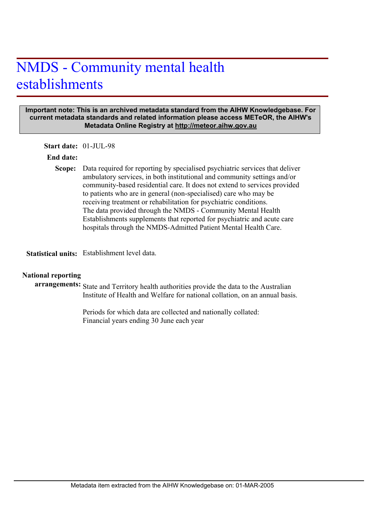# NMDS - Community mental health establishments

#### **Important note: This is an archived metadata standard from the AIHW Knowledgebase. For current metadata standards and related information please access METeOR, the AIHW's Metadata Online Registry at http://meteor.aihw.gov.au**

**Start date:** 01-JUL-98

#### **End date:**

Scope: Data required for reporting by specialised psychiatric services that deliver ambulatory services, in both institutional and community settings and/or community-based residential care. It does not extend to services provided to patients who are in general (non-specialised) care who may be receiving treatment or rehabilitation for psychiatric conditions. The data provided through the NMDS - Community Mental Health Establishments supplements that reported for psychiatric and acute care hospitals through the NMDS-Admitted Patient Mental Health Care.

Statistical units: Establishment level data.

### **National reporting**

arrangements: State and Territory health authorities provide the data to the Australian Institute of Health and Welfare for national collation, on an annual basis.

> Periods for which data are collected and nationally collated: Financial years ending 30 June each year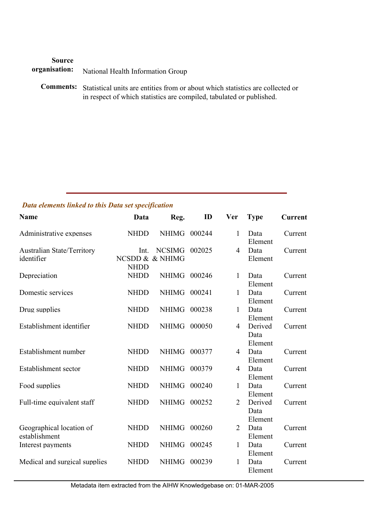| <b>Source</b><br>organisation: | National Health Information Group                                                                                                                                       |
|--------------------------------|-------------------------------------------------------------------------------------------------------------------------------------------------------------------------|
|                                | <b>Comments:</b> Statistical units are entities from or about which statistics are collected or<br>in respect of which statistics are compiled, tabulated or published. |

## *Data elements linked to this Data set specification*

| <b>Name</b>                                     | Data                | Reg.                             | ID     | <b>Ver</b>     | <b>Type</b>                | <b>Current</b> |
|-------------------------------------------------|---------------------|----------------------------------|--------|----------------|----------------------------|----------------|
| Administrative expenses                         | <b>NHDD</b>         | <b>NHIMG</b>                     | 000244 | 1              | Data<br>Element            | Current        |
| <b>Australian State/Territory</b><br>identifier | Int.<br><b>NHDD</b> | <b>NCSIMG</b><br>NCSDD & & NHIMG | 002025 | 4              | Data<br>Element            | Current        |
| Depreciation                                    | <b>NHDD</b>         | <b>NHIMG</b>                     | 000246 | $\mathbf{1}$   | Data<br>Element            | Current        |
| Domestic services                               | <b>NHDD</b>         | <b>NHIMG</b>                     | 000241 | 1              | Data<br>Element            | Current        |
| Drug supplies                                   | <b>NHDD</b>         | <b>NHIMG</b>                     | 000238 | 1              | Data<br>Element            | Current        |
| Establishment identifier                        | <b>NHDD</b>         | <b>NHIMG</b>                     | 000050 | $\overline{4}$ | Derived<br>Data<br>Element | Current        |
| Establishment number                            | <b>NHDD</b>         | <b>NHIMG</b>                     | 000377 | $\overline{4}$ | Data<br>Element            | Current        |
| Establishment sector                            | <b>NHDD</b>         | <b>NHIMG</b>                     | 000379 | $\overline{4}$ | Data<br>Element            | Current        |
| Food supplies                                   | <b>NHDD</b>         | <b>NHIMG</b>                     | 000240 | $\mathbf{1}$   | Data<br>Element            | Current        |
| Full-time equivalent staff                      | <b>NHDD</b>         | <b>NHIMG</b>                     | 000252 | $\overline{2}$ | Derived<br>Data<br>Element | Current        |
| Geographical location of<br>establishment       | <b>NHDD</b>         | <b>NHIMG</b>                     | 000260 | $\overline{2}$ | Data<br>Element            | Current        |
| Interest payments                               | <b>NHDD</b>         | <b>NHIMG</b>                     | 000245 | $\mathbf{1}$   | Data<br>Element            | Current        |
| Medical and surgical supplies                   | <b>NHDD</b>         | <b>NHIMG</b>                     | 000239 | $\mathbf{1}$   | Data<br>Element            | Current        |